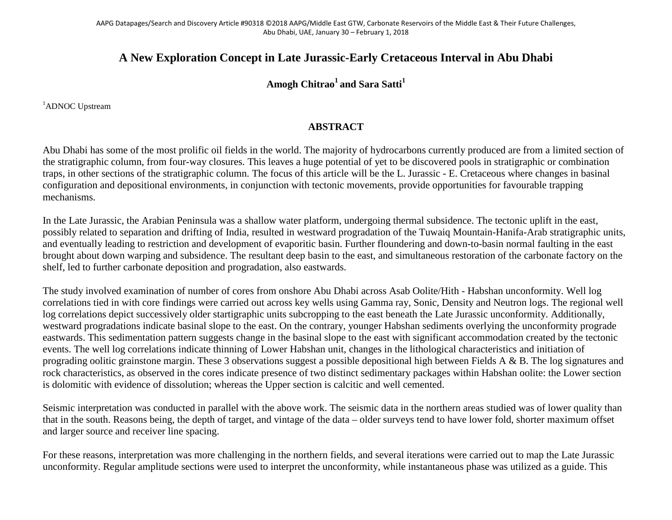## **A New Exploration Concept in Late Jurassic-Early Cretaceous Interval in Abu Dhabi**

## Amogh Chitrao<sup>1</sup> and Sara Satti<sup>1</sup>

<sup>1</sup>ADNOC Upstream

## **ABSTRACT**

Abu Dhabi has some of the most prolific oil fields in the world. The majority of hydrocarbons currently produced are from a limited section of the stratigraphic column, from four-way closures. This leaves a huge potential of yet to be discovered pools in stratigraphic or combination traps, in other sections of the stratigraphic column. The focus of this article will be the L. Jurassic - E. Cretaceous where changes in basinal configuration and depositional environments, in conjunction with tectonic movements, provide opportunities for favourable trapping mechanisms.

In the Late Jurassic, the Arabian Peninsula was a shallow water platform, undergoing thermal subsidence. The tectonic uplift in the east, possibly related to separation and drifting of India, resulted in westward progradation of the Tuwaiq Mountain-Hanifa-Arab stratigraphic units, and eventually leading to restriction and development of evaporitic basin. Further floundering and down-to-basin normal faulting in the east brought about down warping and subsidence. The resultant deep basin to the east, and simultaneous restoration of the carbonate factory on the shelf, led to further carbonate deposition and progradation, also eastwards.

The study involved examination of number of cores from onshore Abu Dhabi across Asab Oolite/Hith - Habshan unconformity. Well log correlations tied in with core findings were carried out across key wells using Gamma ray, Sonic, Density and Neutron logs. The regional well log correlations depict successively older startigraphic units subcropping to the east beneath the Late Jurassic unconformity. Additionally, westward progradations indicate basinal slope to the east. On the contrary, younger Habshan sediments overlying the unconformity prograde eastwards. This sedimentation pattern suggests change in the basinal slope to the east with significant accommodation created by the tectonic events. The well log correlations indicate thinning of Lower Habshan unit, changes in the lithological characteristics and initiation of prograding oolitic grainstone margin. These 3 observations suggest a possible depositional high between Fields A & B. The log signatures and rock characteristics, as observed in the cores indicate presence of two distinct sedimentary packages within Habshan oolite: the Lower section is dolomitic with evidence of dissolution; whereas the Upper section is calcitic and well cemented.

Seismic interpretation was conducted in parallel with the above work. The seismic data in the northern areas studied was of lower quality than that in the south. Reasons being, the depth of target, and vintage of the data – older surveys tend to have lower fold, shorter maximum offset and larger source and receiver line spacing.

For these reasons, interpretation was more challenging in the northern fields, and several iterations were carried out to map the Late Jurassic unconformity. Regular amplitude sections were used to interpret the unconformity, while instantaneous phase was utilized as a guide. This